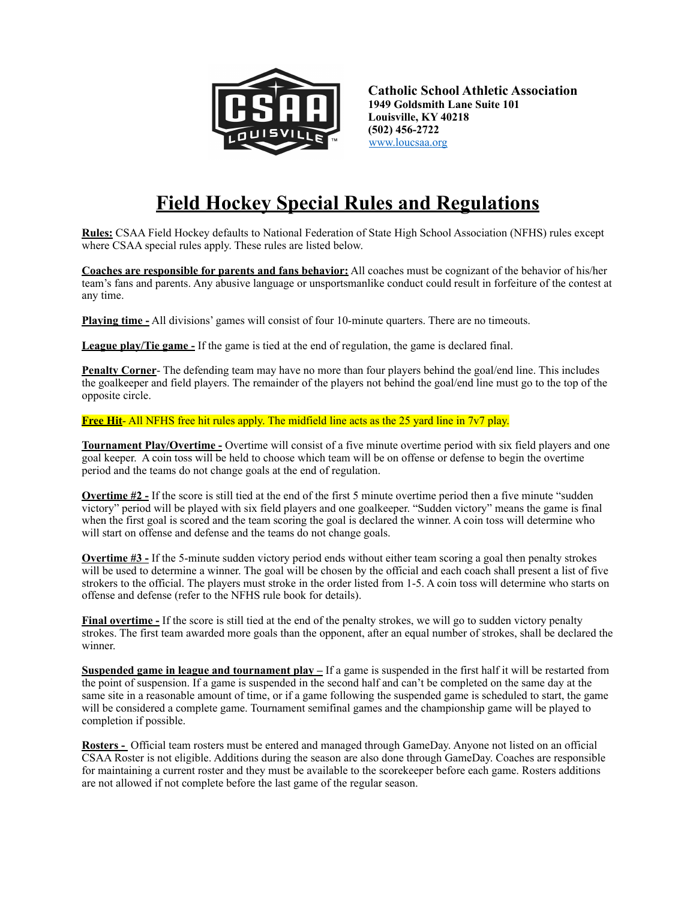

**Catholic School Athletic Association 1949 Goldsmith Lane Suite 101 Louisville, KY 40218 (502) 456-2722** [www.loucsaa.org](http://www.loucsaa.org)

# **Field Hockey Special Rules and Regulations**

**Rules:** CSAA Field Hockey defaults to National Federation of State High School Association (NFHS) rules except where CSAA special rules apply. These rules are listed below.

**Coaches are responsible for parents and fans behavior:** All coaches must be cognizant of the behavior of his/her team's fans and parents. Any abusive language or unsportsmanlike conduct could result in forfeiture of the contest at any time.

**Playing time -** All divisions' games will consist of four 10-minute quarters. There are no timeouts.

**League play/Tie game** - If the game is tied at the end of regulation, the game is declared final.

**Penalty Corner**- The defending team may have no more than four players behind the goal/end line. This includes the goalkeeper and field players. The remainder of the players not behind the goal/end line must go to the top of the opposite circle.

**Free Hit**- All NFHS free hit rules apply. The midfield line acts as the 25 yard line in 7v7 play.

**Tournament Play/Overtime -** Overtime will consist of a five minute overtime period with six field players and one goal keeper. A coin toss will be held to choose which team will be on offense or defense to begin the overtime period and the teams do not change goals at the end of regulation.

**Overtime #2** - If the score is still tied at the end of the first 5 minute overtime period then a five minute "sudden" victory" period will be played with six field players and one goalkeeper. "Sudden victory" means the game is final when the first goal is scored and the team scoring the goal is declared the winner. A coin toss will determine who will start on offense and defense and the teams do not change goals.

**Overtime #3** - If the 5-minute sudden victory period ends without either team scoring a goal then penalty strokes will be used to determine a winner. The goal will be chosen by the official and each coach shall present a list of five strokers to the official. The players must stroke in the order listed from 1-5. A coin toss will determine who starts on offense and defense (refer to the NFHS rule book for details).

**Final overtime -** If the score is still tied at the end of the penalty strokes, we will go to sudden victory penalty strokes. The first team awarded more goals than the opponent, after an equal number of strokes, shall be declared the winner.

**Suspended game in league and tournament play –** If a game is suspended in the first half it will be restarted from the point of suspension. If a game is suspended in the second half and can't be completed on the same day at the same site in a reasonable amount of time, or if a game following the suspended game is scheduled to start, the game will be considered a complete game. Tournament semifinal games and the championship game will be played to completion if possible.

**Rosters -** Official team rosters must be entered and managed through GameDay. Anyone not listed on an official CSAA Roster is not eligible. Additions during the season are also done through GameDay. Coaches are responsible for maintaining a current roster and they must be available to the scorekeeper before each game. Rosters additions are not allowed if not complete before the last game of the regular season.